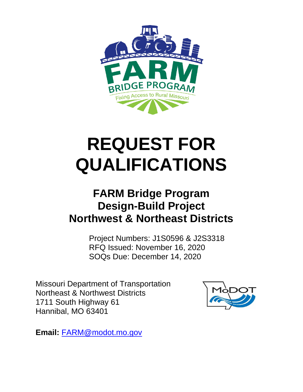

# **REQUEST FOR QUALIFICATIONS**

## **FARM Bridge Program Design-Build Project Northwest & Northeast Districts**

Project Numbers: J1S0596 & J2S3318 RFQ Issued: November 16, 2020 SOQs Due: December 14, 2020

Missouri Department of Transportation Northeast & Northwest Districts 1711 South Highway 61 Hannibal, MO 63401



**Email:** [FARM@modot.mo.gov](mailto:FARM@modot.mo.gov)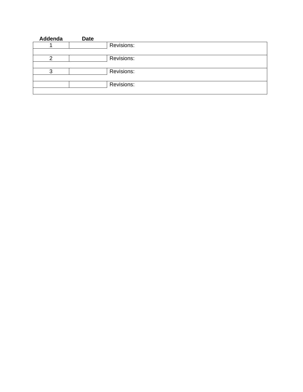| Addenda | <b>Date</b> |            |
|---------|-------------|------------|
|         |             | Revisions: |
|         |             |            |
|         |             | Revisions: |
|         |             |            |
| ◠       |             | Revisions: |
|         |             |            |
|         |             | Revisions: |
|         |             |            |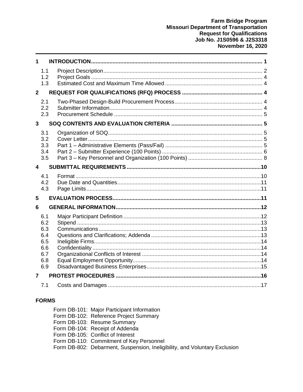| 1                                                    |  |
|------------------------------------------------------|--|
| 1.1<br>1.2<br>1.3                                    |  |
| $\overline{2}$                                       |  |
| 2.1<br>2.2<br>2.3                                    |  |
| $\overline{3}$                                       |  |
| 3.1<br>3.2<br>3.3<br>3.4<br>3.5                      |  |
| 4                                                    |  |
|                                                      |  |
| 4.1<br>4.2<br>4.3                                    |  |
| 5                                                    |  |
| 6                                                    |  |
| 6.1<br>6.2<br>6.3<br>6.4<br>6.5<br>6.6<br>6.7<br>6.8 |  |
| 6.9<br>7                                             |  |

#### **FORMS**

| Form DB-101: Major Participant Information                                 |
|----------------------------------------------------------------------------|
| Form DB-102: Reference Project Summary                                     |
| Form DB-103: Resume Summary                                                |
| Form DB-104: Receipt of Addenda                                            |
| Form DB-105: Conflict of Interest                                          |
| Form DB-110: Commitment of Key Personnel                                   |
| Form DB-802: Debarment, Suspension, Ineligibility, and Voluntary Exclusion |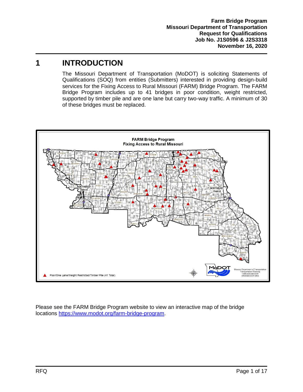## <span id="page-3-0"></span>**1 INTRODUCTION**

The Missouri Department of Transportation (MoDOT) is soliciting Statements of Qualifications (SOQ) from entities (Submitters) interested in providing design-build services for the Fixing Access to Rural Missouri (FARM) Bridge Program. The FARM Bridge Program includes up to 41 bridges in poor condition, weight restricted, supported by timber pile and are one lane but carry two-way traffic. A minimum of 30 of these bridges must be replaced.



Please see the FARM Bridge Program website to view an interactive map of the bridge locations [https://www.modot.org/farm-bridge-program.](https://www.modot.org/farm-bridge-program)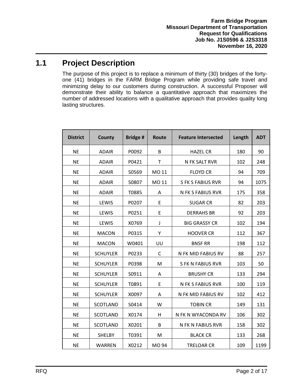## <span id="page-4-0"></span>**1.1 Project Description**

The purpose of this project is to replace a minimum of thirty (30) bridges of the fortyone (41) bridges in the FARM Bridge Program while providing safe travel and minimizing delay to our customers during construction. A successful Proposer will demonstrate their ability to balance a quantitative approach that maximizes the number of addressed locations with a qualitative approach that provides quality long lasting structures.

| <b>District</b> | <b>County</b>   | <b>Bridge#</b> | Route | <b>Feature Intersected</b> | Length | <b>ADT</b> |
|-----------------|-----------------|----------------|-------|----------------------------|--------|------------|
| <b>NE</b>       | <b>ADAIR</b>    | P0092          | B     | <b>HAZEL CR</b>            | 180    | 90         |
| <b>NE</b>       | <b>ADAIR</b>    | P0421          | T     | N FK SALT RVR              | 102    | 248        |
| <b>NE</b>       | <b>ADAIR</b>    | S0569          | MO 11 | <b>FLOYD CR</b>            | 94     | 709        |
| <b>NE</b>       | <b>ADAIR</b>    | S0807          | MO 11 | <b>S FK S FABIUS RVR</b>   | 94     | 1075       |
| <b>NE</b>       | <b>ADAIR</b>    | T0885          | Α     | N FK S FABIUS RVR          | 175    | 358        |
| <b>NE</b>       | LEWIS           | P0207          | E     | <b>SUGAR CR</b>            | 82     | 203        |
| <b>NE</b>       | LEWIS           | P0251          | E     | <b>DERRAHS BR</b>          | 92     | 203        |
| <b>NE</b>       | LEWIS           | X0769          | J     | <b>BIG GRASSY CR</b>       | 102    | 194        |
| <b>NE</b>       | <b>MACON</b>    | P0315          | Υ     | <b>HOOVER CR</b>           | 112    | 367        |
| <b>NE</b>       | <b>MACON</b>    | W0401          | UU    | <b>BNSF RR</b>             | 198    | 112        |
| <b>NE</b>       | <b>SCHUYLER</b> | P0233          | C     | N FK MID FABIUS RV         | 88     | 257        |
| <b>NE</b>       | <b>SCHUYLER</b> | P0398          | M     | <b>S FK N FABIUS RVR</b>   | 103    | 50         |
| <b>NE</b>       | <b>SCHUYLER</b> | S0911          | A     | <b>BRUSHY CR</b>           | 133    | 294        |
| <b>NE</b>       | <b>SCHUYLER</b> | T0891          | E     | N FK S FABIUS RVR          | 100    | 119        |
| <b>NE</b>       | <b>SCHUYLER</b> | X0097          | A     | N FK MID FABIUS RV         | 102    | 412        |
| <b>NE</b>       | <b>SCOTLAND</b> | S0414          | W     | <b>TOBIN CR</b>            | 149    | 131        |
| <b>NE</b>       | <b>SCOTLAND</b> | X0174          | H     | N FK N WYACONDA RV         | 106    | 302        |
| <b>NE</b>       | SCOTLAND        | X0201          | B     | N FK N FABIUS RVR          | 158    | 302        |
| <b>NE</b>       | <b>SHELBY</b>   | T0391          | M     | <b>BLACK CR</b>            | 133    | 268        |
| <b>NE</b>       | <b>WARREN</b>   | X0212          | MO 94 | <b>TRELOAR CR</b>          | 109    | 1199       |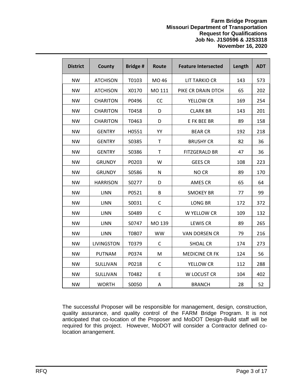#### **Farm Bridge Program Missouri Department of Transportation Request for Qualifications Job No. J1S0596 & J2S3318 November 16, 2020**

| <b>District</b> | County          | <b>Bridge#</b> | Route     | <b>Feature Intersected</b> | Length | <b>ADT</b> |
|-----------------|-----------------|----------------|-----------|----------------------------|--------|------------|
| <b>NW</b>       | <b>ATCHISON</b> | T0103          | MO 46     | <b>LIT TARKIO CR</b>       | 143    | 573        |
| <b>NW</b>       | <b>ATCHISON</b> | X0170          | MO 111    | PIKE CR DRAIN DTCH         | 65     | 202        |
| <b>NW</b>       | <b>CHARITON</b> | P0496          | CC        | YELLOW CR                  | 169    | 254        |
| <b>NW</b>       | <b>CHARITON</b> | T0458          | D         | <b>CLARK BR</b>            | 143    | 201        |
| <b>NW</b>       | <b>CHARITON</b> | T0463          | D         | E FK BEE BR                | 89     | 158        |
| <b>NW</b>       | <b>GENTRY</b>   | H0551          | YY        | <b>BEAR CR</b>             | 192    | 218        |
| <b>NW</b>       | <b>GENTRY</b>   | S0385          | T         | <b>BRUSHY CR</b>           | 82     | 36         |
| <b>NW</b>       | <b>GENTRY</b>   | S0386          | T         | <b>FITZGERALD BR</b>       | 47     | 36         |
| <b>NW</b>       | <b>GRUNDY</b>   | P0203          | W         | <b>GEES CR</b>             | 108    | 223        |
| <b>NW</b>       | <b>GRUNDY</b>   | S0586          | N         | NO CR                      | 89     | 170        |
| <b>NW</b>       | <b>HARRISON</b> | S0277          | D         | <b>AMES CR</b>             | 65     | 64         |
| <b>NW</b>       | <b>LINN</b>     | P0521          | B         | <b>SMOKEY BR</b>           | 77     | 99         |
| <b>NW</b>       | <b>LINN</b>     | S0031          | C         | <b>LONG BR</b>             | 172    | 372        |
| <b>NW</b>       | <b>LINN</b>     | S0489          | C         | W YELLOW CR                | 109    | 132        |
| <b>NW</b>       | <b>LINN</b>     | S0747          | MO 139    | <b>LEWIS CR</b>            | 89     | 265        |
| <b>NW</b>       | <b>LINN</b>     | T0807          | <b>WW</b> | <b>VAN DORSEN CR</b>       | 79     | 216        |
| <b>NW</b>       | LIVINGSTON      | T0379          | C         | <b>SHOAL CR</b>            | 174    | 273        |
| <b>NW</b>       | <b>PUTNAM</b>   | P0374          | M         | <b>MEDICINE CR FK</b>      | 124    | 56         |
| <b>NW</b>       | SULLIVAN        | P0218          | C         | YELLOW CR                  | 112    | 288        |
| <b>NW</b>       | SULLIVAN        | T0482          | E         | W LOCUST CR                | 104    | 402        |
| <b>NW</b>       | <b>WORTH</b>    | S0050          | Α         | <b>BRANCH</b>              | 28     | 52         |

The successful Proposer will be responsible for management, design, construction, quality assurance, and quality control of the FARM Bridge Program. It is not anticipated that co-location of the Proposer and MoDOT Design-Build staff will be required for this project. However, MoDOT will consider a Contractor defined colocation arrangement.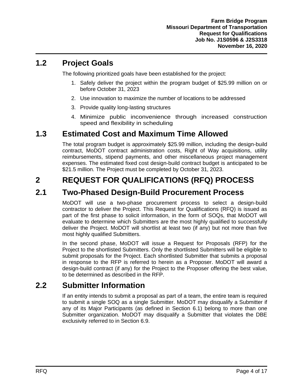#### <span id="page-6-0"></span>**1.2 Project Goals**

The following prioritized goals have been established for the project:

- 1. Safely deliver the project within the program budget of \$25.99 million on or before October 31, 2023
- 2. Use innovation to maximize the number of locations to be addressed
- 3. Provide quality long-lasting structures
- 4. Minimize public inconvenience through increased construction speed and flexibility in scheduling

## <span id="page-6-1"></span>**1.3 Estimated Cost and Maximum Time Allowed**

The total program budget is approximately \$25.99 million, including the design-build contract, MoDOT contract administration costs, Right of Way acquisitions, utility reimbursements, stipend payments, and other miscellaneous project management expenses. The estimated fixed cost design-build contract budget is anticipated to be \$21.5 million. The Project must be completed by October 31, 2023.

## <span id="page-6-2"></span>**2 REQUEST FOR QUALIFICATIONS (RFQ) PROCESS**

#### <span id="page-6-3"></span>**2.1 Two-Phased Design-Build Procurement Process**

MoDOT will use a two-phase procurement process to select a design-build contractor to deliver the Project. This Request for Qualifications (RFQ) is issued as part of the first phase to solicit information, in the form of SOQs, that MoDOT will evaluate to determine which Submitters are the most highly qualified to successfully deliver the Project. MoDOT will shortlist at least two (if any) but not more than five most highly qualified Submitters.

In the second phase, MoDOT will issue a Request for Proposals (RFP) for the Project to the shortlisted Submitters. Only the shortlisted Submitters will be eligible to submit proposals for the Project. Each shortlisted Submitter that submits a proposal in response to the RFP is referred to herein as a Proposer. MoDOT will award a design-build contract (if any) for the Project to the Proposer offering the best value, to be determined as described in the RFP.

#### <span id="page-6-4"></span>**2.2 Submitter Information**

If an entity intends to submit a proposal as part of a team, the entire team is required to submit a single SOQ as a single Submitter. MoDOT may disqualify a Submitter if any of its Major Participants (as defined in Section [6.1\)](#page-14-1) belong to more than one Submitter organization. MoDOT may disqualify a Submitter that violates the DBE exclusivity referred to in Section [6.9.](#page-17-0)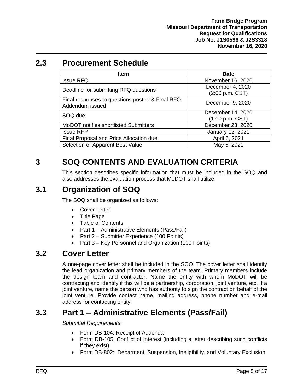## <span id="page-7-0"></span>**2.3 Procurement Schedule**

| <b>Item</b>                                                        | Date                                 |
|--------------------------------------------------------------------|--------------------------------------|
| <b>Issue RFQ</b>                                                   | November 16, 2020                    |
| Deadline for submitting RFQ questions                              | December 4, 2020<br>(2:00 p.m. CST)  |
| Final responses to questions posted & Final RFQ<br>Addendum issued | December 9, 2020                     |
| SOQ due                                                            | December 14, 2020<br>(1:00 p.m. CST) |
| <b>MoDOT</b> notifies shortlisted Submitters                       | December 23, 2020                    |
| <b>Issue RFP</b>                                                   | January 12, 2021                     |
| Final Proposal and Price Allocation due                            | April 6, 2021                        |
| Selection of Apparent Best Value                                   | May 5, 2021                          |

## <span id="page-7-1"></span>**3 SOQ CONTENTS AND EVALUATION CRITERIA**

This section describes specific information that must be included in the SOQ and also addresses the evaluation process that MoDOT shall utilize.

## <span id="page-7-2"></span>**3.1 Organization of SOQ**

The SOQ shall be organized as follows:

- Cover Letter
- Title Page
- Table of Contents
- Part 1 Administrative Elements (Pass/Fail)
- Part 2 Submitter Experience (100 Points)
- Part 3 Key Personnel and Organization (100 Points)

#### <span id="page-7-3"></span>**3.2 Cover Letter**

A one-page cover letter shall be included in the SOQ. The cover letter shall identify the lead organization and primary members of the team. Primary members include the design team and contractor. Name the entity with whom MoDOT will be contracting and identify if this will be a partnership, corporation, joint venture, etc. If a joint venture, name the person who has authority to sign the contract on behalf of the joint venture. Provide contact name, mailing address, phone number and e-mail address for contacting entity.

#### <span id="page-7-4"></span>**3.3 Part 1 – Administrative Elements (Pass/Fail)**

*Submittal Requirements:*

- Form DB-104: Receipt of Addenda
- Form DB-105: Conflict of Interest (including a letter describing such conflicts if they exist)
- Form DB-802: Debarment, Suspension, Ineligibility, and Voluntary Exclusion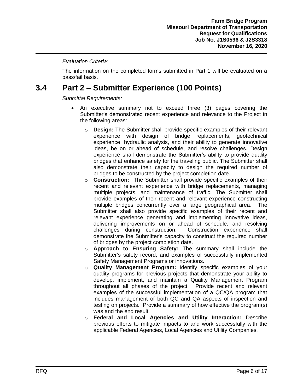#### *Evaluation Criteria:*

The information on the completed forms submitted in Part 1 will be evaluated on a pass/fail basis.

#### <span id="page-8-0"></span>**3.4 Part 2 – Submitter Experience (100 Points)**

*Submittal Requirements:*

- An executive summary not to exceed three (3) pages covering the Submitter's demonstrated recent experience and relevance to the Project in the following areas:
	- o **Design:** The Submitter shall provide specific examples of their relevant experience with design of bridge replacements, geotechnical experience, hydraulic analysis, and their ability to generate innovative ideas, be on or ahead of schedule, and resolve challenges. Design experience shall demonstrate the Submitter's ability to provide quality bridges that enhance safety for the traveling public. The Submitter shall also demonstrate their capacity to design the required number of bridges to be constructed by the project completion date.
	- o **Construction:** The Submitter shall provide specific examples of their recent and relevant experience with bridge replacements, managing multiple projects, and maintenance of traffic. The Submitter shall provide examples of their recent and relevant experience constructing multiple bridges concurrently over a large geographical area. The Submitter shall also provide specific examples of their recent and relevant experience generating and implementing innovative ideas, delivering improvements on or ahead of schedule, and resolving challenges during construction. Construction experience shall demonstrate the Submitter's capacity to construct the required number of bridges by the project completion date.
	- o **Approach to Ensuring Safety:** The summary shall include the Submitter's safety record, and examples of successfully implemented Safety Management Programs or innovations.
	- o **Quality Management Program:** Identify specific examples of your quality programs for previous projects that demonstrate your ability to develop, implement, and maintain a Quality Management Program throughout all phases of the project. Provide recent and relevant examples of the successful implementation of a QC/QA program that includes management of both QC and QA aspects of inspection and testing on projects. Provide a summary of how effective the program(s) was and the end result.
	- o **Federal and Local Agencies and Utility Interaction:** Describe previous efforts to mitigate impacts to and work successfully with the applicable Federal Agencies, Local Agencies and Utility Companies.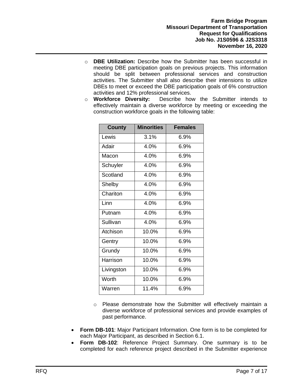- o **DBE Utilization:** Describe how the Submitter has been successful in meeting DBE participation goals on previous projects. This information should be split between professional services and construction activities. The Submitter shall also describe their intensions to utilize DBEs to meet or exceed the DBE participation goals of 6% construction activities and 12% professional services.
- o **Workforce Diversity:** Describe how the Submitter intends to effectively maintain a diverse workforce by meeting or exceeding the construction workforce goals in the following table:

| <b>County</b>                | <b>Minorities</b> | <b>Females</b> |
|------------------------------|-------------------|----------------|
| Lewis                        | 3.1%              | $6.9\%$        |
| Adair                        | 4.0%              | 6.9%           |
| Macon                        | 4.0%              | 6.9%           |
| Schuyler                     | 4.0%              | 6.9%           |
| Scotland                     | 4.0%              | 6.9%           |
| Shelby                       | 4.0%              | 6.9%           |
| $\overline{\text{Chariton}}$ | 4.0%              | 6.9%           |
| Linn                         | 4.0%              | 6.9%           |
| Putnam                       | 4.0%              | 6.9%           |
| Sullivan                     | 4.0%              | 6.9%           |
| Atchison                     | 10.0%             | 6.9%           |
| Gentry                       | 10.0%             | $6.9\%$        |
| Grundy                       | 10.0%             | 6.9%           |
| Harrison                     | 10.0%             | 6.9%           |
| Livingston                   | 10.0%             | 6.9%           |
| Worth                        | 10.0%             | 6.9%           |
| Warren                       | 11.4%             | 6.9%           |

- $\circ$  Please demonstrate how the Submitter will effectively maintain a diverse workforce of professional services and provide examples of past performance.
- **Form DB-101**: Major Participant Information. One form is to be completed for each Major Participant, as described in Section 6.1.
- **Form DB-102**: Reference Project Summary. One summary is to be completed for each reference project described in the Submitter experience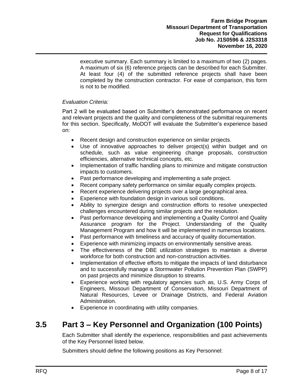executive summary. Each summary is limited to a maximum of two (2) pages. A maximum of six (6) reference projects can be described for each Submitter. At least four (4) of the submitted reference projects shall have been completed by the construction contractor. For ease of comparison, this form is not to be modified.

#### *Evaluation Criteria:*

Part 2 will be evaluated based on Submitter's demonstrated performance on recent and relevant projects and the quality and completeness of the submittal requirements for this section. Specifically, MoDOT will evaluate the Submitter's experience based on:

- Recent design and construction experience on similar projects.
- Use of innovative approaches to deliver project(s) within budget and on schedule, such as value engineering change proposals, construction efficiencies, alternative technical concepts, etc.
- Implementation of traffic handling plans to minimize and mitigate construction impacts to customers.
- Past performance developing and implementing a safe project.
- Recent company safety performance on similar equally complex projects.
- Recent experience delivering projects over a large geographical area.
- Experience with foundation design in various soil conditions.
- Ability to synergize design and construction efforts to resolve unexpected challenges encountered during similar projects and the resolution.
- Past performance developing and implementing a Quality Control and Quality Assurance program for the Project. Understanding of the Quality Management Program and how it will be implemented in numerous locations.
- Past performance with timeliness and accuracy of quality documentation.
- Experience with minimizing impacts on environmentally sensitive areas.
- The effectiveness of the DBE utilization strategies to maintain a diverse workforce for both construction and non-construction activities.
- Implementation of effective efforts to mitigate the impacts of land disturbance and to successfully manage a Stormwater Pollution Prevention Plan (SWPP) on past projects and minimize disruption to streams.
- Experience working with regulatory agencies such as, U.S. Army Corps of Engineers, Missouri Department of Conservation, Missouri Department of Natural Resources, Levee or Drainage Districts, and Federal Aviation Administration.
- Experience in coordinating with utility companies.

#### <span id="page-10-0"></span>**3.5 Part 3 – Key Personnel and Organization (100 Points)**

Each Submitter shall identify the experience, responsibilities and past achievements of the Key Personnel listed below.

Submitters should define the following positions as Key Personnel: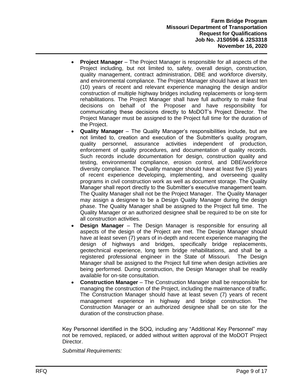- **Project Manager** The Project Manager is responsible for all aspects of the Project including, but not limited to, safety, overall design, construction, quality management, contract administration, DBE and workforce diversity, and environmental compliance. The Project Manager should have at least ten (10) years of recent and relevant experience managing the design and/or construction of multiple highway bridges including replacements or long-term rehabilitations. The Project Manager shall have full authority to make final decisions on behalf of the Proposer and have responsibility for communicating these decisions directly to MoDOT's Project Director. The Project Manager must be assigned to the Project full time for the duration of the Project.
- **Quality Manager** The Quality Manager's responsibilities include, but are not limited to, creation and execution of the Submitter's quality program, quality personnel, assurance activities independent of production, enforcement of quality procedures, and documentation of quality records. Such records include documentation for design, construction quality and testing, environmental compliance, erosion control, and DBE/workforce diversity compliance. The Quality manager should have at least five (5) years of recent experience developing, implementing, and overseeing quality programs in civil construction work as well as document storage. The Quality Manager shall report directly to the Submitter's executive management team. The Quality Manager shall not be the Project Manager. The Quality Manager may assign a designee to be a Design Quality Manager during the design phase. The Quality Manager shall be assigned to the Project full time. The Quality Manager or an authorized designee shall be required to be on site for all construction activities.
- **Design Manager** The Design Manager is responsible for ensuring all aspects of the design of the Project are met. The Design Manager should have at least seven (7) years of in-depth and recent experience managing the design of highways and bridges, specifically bridge replacements, geotechnical experience, long term bridge rehabilitations, and shall be a registered professional engineer in the State of Missouri. The Design Manager shall be assigned to the Project full time when design activities are being performed. During construction, the Design Manager shall be readily available for on-site consultation.
- **Construction Manager** The Construction Manager shall be responsible for managing the construction of the Project, including the maintenance of traffic. The Construction Manager should have at least seven (7) years of recent management experience in highway and bridge construction. The Construction Manager or an authorized designee shall be on site for the duration of the construction phase.

Key Personnel identified in the SOQ, including any "Additional Key Personnel" may not be removed, replaced, or added without written approval of the MoDOT Project Director.

*Submittal Requirements:*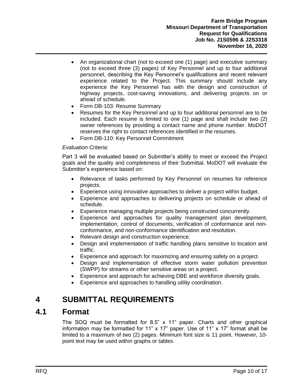- An organizational chart (not to exceed one (1) page) and executive summary (not to exceed three (3) pages) of Key Personnel and up to four additional personnel, describing the Key Personnel's qualifications and recent relevant experience related to the Project. This summary should include any experience the Key Personnel has with the design and construction of highway projects, cost-saving innovations, and delivering projects on or ahead of schedule.
- Form DB-103: Resume Summary
- Resumes for the Key Personnel and up to four additional personnel are to be included. Each resume is limited to one (1) page and shall include two (2) owner references by providing a contact name and phone number. MoDOT reserves the right to contact references identified in the resumes.
- Form DB-110: Key Personnel Commitment

#### *Evaluation Criteria:*

Part 3 will be evaluated based on Submitter's ability to meet or exceed the Project goals and the quality and completeness of their Submittal. MoDOT will evaluate the Submitter's experience based on:

- Relevance of tasks performed by Key Personnel on resumes for reference projects.
- Experience using innovative approaches to deliver a project within budget.
- Experience and approaches to delivering projects on schedule or ahead of schedule.
- Experience managing multiple projects being constructed concurrently.
- Experience and approaches for quality management plan development, implementation, control of documents, verification of conformance and nonconformance, and non-conformance identification and resolution.
- Relevant design and construction experience.
- Design and implementation of traffic handling plans sensitive to location and traffic.
- Experience and approach for maximizing and ensuring safety on a project.
- Design and implementation of effective storm water pollution prevention (SWPP) for streams or other sensitive areas on a project.
- Experience and approach for achieving DBE and workforce diversity goals.
- Experience and approaches to handling utility coordination.

#### <span id="page-12-0"></span>**4 SUBMITTAL REQUIREMENTS**

#### <span id="page-12-1"></span>**4.1 Format**

The SOQ must be formatted for 8.5" x 11" paper. Charts and other graphical information may be formatted for 11" x 17" paper. Use of 11" x 17" format shall be limited to a maximum of two (2) pages. Minimum font size is 11 point. However, 10 point text may be used within graphs or tables.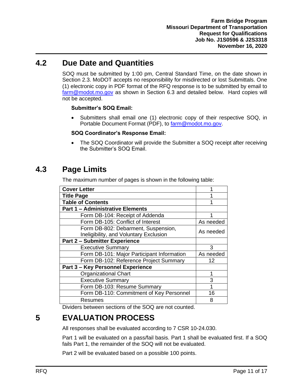#### <span id="page-13-0"></span>**4.2 Due Date and Quantities**

SOQ must be submitted by 1:00 pm, Central Standard Time, on the date shown in Section [2.3.](#page-7-0) MoDOT accepts no responsibility for misdirected or lost Submittals. One (1) electronic copy in PDF format of the RFQ response is to be submitted by email to [farm@modot.mo.gov](mailto:farm@modot.mo.gov) as shown in Section [6.3](#page-15-1) and detailed below. Hard copies will not be accepted.

#### **Submitter's SOQ Email:**

• Submitters shall email one (1) electronic copy of their respective SOQ, in Portable Document Format (PDF), to [farm@modot.mo.gov.](mailto:farm@modot.mo.gov)

#### **SOQ Coordinator's Response Email:**

• The SOQ Coordinator will provide the Submitter a SOQ receipt after receiving the Submitter's SOQ Email.

#### <span id="page-13-1"></span>**4.3 Page Limits**

The maximum number of pages is shown in the following table:

| <b>Cover Letter</b>                                                           | 1         |
|-------------------------------------------------------------------------------|-----------|
| <b>Title Page</b>                                                             | 1         |
| <b>Table of Contents</b>                                                      | 1         |
| <b>Part 1 - Administrative Elements</b>                                       |           |
| Form DB-104: Receipt of Addenda                                               |           |
| Form DB-105: Conflict of Interest                                             | As needed |
| Form DB-802: Debarment, Suspension,<br>Ineligibility, and Voluntary Exclusion | As needed |
| <b>Part 2 - Submitter Experience</b>                                          |           |
| <b>Executive Summary</b>                                                      | 3         |
| Form DB-101: Major Participant Information                                    | As needed |
| Form DB-102: Reference Project Summary                                        | 12        |
| Part 3 - Key Personnel Experience                                             |           |
| <b>Organizational Chart</b>                                                   | 1         |
| <b>Executive Summary</b>                                                      | 3         |
| Form DB-103: Resume Summary                                                   | 1         |
| Form DB-110: Commitment of Key Personnel                                      | 16        |
| Resumes                                                                       | 8         |

Dividers between sections of the SOQ are not counted.

## <span id="page-13-2"></span>**5 EVALUATION PROCESS**

All responses shall be evaluated according to 7 CSR 10-24.030.

Part 1 will be evaluated on a pass/fail basis. Part 1 shall be evaluated first. If a SOQ fails Part 1, the remainder of the SOQ will not be evaluated.

Part 2 will be evaluated based on a possible 100 points.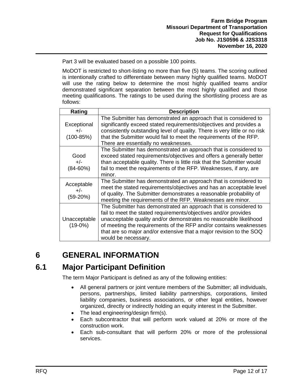Part 3 will be evaluated based on a possible 100 points.

MoDOT is restricted to short-listing no more than five (5) teams. The scoring outlined is intentionally crafted to differentiate between many highly qualified teams. MoDOT will use the rating below to determine the most highly qualified teams and/or demonstrated significant separation between the most highly qualified and those meeting qualifications. The ratings to be used during the shortlisting process are as follows:

| Rating                                | <b>Description</b>                                                                                                                                                                                                                                                                                                                                                          |
|---------------------------------------|-----------------------------------------------------------------------------------------------------------------------------------------------------------------------------------------------------------------------------------------------------------------------------------------------------------------------------------------------------------------------------|
| Exceptional<br>$+/-$<br>$(100 - 85%)$ | The Submitter has demonstrated an approach that is considered to<br>significantly exceed stated requirements/objectives and provides a<br>consistently outstanding level of quality. There is very little or no risk<br>that the Submitter would fail to meet the requirements of the RFP.<br>There are essentially no weaknesses.                                          |
| Good<br>$+/-$<br>$(84 - 60\%)$        | The Submitter has demonstrated an approach that is considered to<br>exceed stated requirements/objectives and offers a generally better<br>than acceptable quality. There is little risk that the Submitter would<br>fail to meet the requirements of the RFP. Weaknesses, if any, are<br>minor.                                                                            |
| Acceptable<br>$+/-$<br>$(59-20%)$     | The Submitter has demonstrated an approach that is considered to<br>meet the stated requirements/objectives and has an acceptable level<br>of quality. The Submitter demonstrates a reasonable probability of<br>meeting the requirements of the RFP. Weaknesses are minor.                                                                                                 |
| Unacceptable<br>$(19-0%)$             | The Submitter has demonstrated an approach that is considered to<br>fail to meet the stated requirements/objectives and/or provides<br>unacceptable quality and/or demonstrates no reasonable likelihood<br>of meeting the requirements of the RFP and/or contains weaknesses<br>that are so major and/or extensive that a major revision to the SOQ<br>would be necessary. |

## <span id="page-14-0"></span>**6 GENERAL INFORMATION**

#### <span id="page-14-1"></span>**6.1 Major Participant Definition**

The term Major Participant is defined as any of the following entities:

- All general partners or joint venture members of the Submitter; all individuals, persons, partnerships, limited liability partnerships, corporations, limited liability companies, business associations, or other legal entities, however organized, directly or indirectly holding an equity interest in the Submitter.
- The lead engineering/design firm(s).
- Each subcontractor that will perform work valued at 20% or more of the construction work.
- Each sub-consultant that will perform 20% or more of the professional services.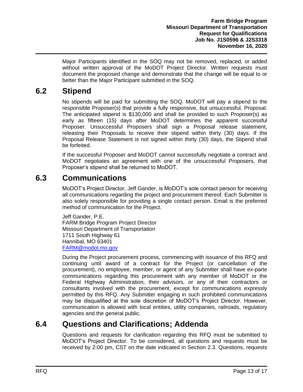Major Participants identified in the SOQ may not be removed, replaced, or added without written approval of the MoDOT Project Director. Written requests must document the proposed change and demonstrate that the change will be equal to or better than the Major Participant submitted in the SOQ.

#### <span id="page-15-0"></span>**6.2 Stipend**

No stipends will be paid for submitting the SOQ. MoDOT will pay a stipend to the responsible Proposer(s) that provide a fully responsive, but unsuccessful, Proposal. The anticipated stipend is \$130,000 and shall be provided to such Proposer(s) as early as fifteen (15) days after MoDOT determines the apparent successful Proposer. Unsuccessful Proposers shall sign a Proposal release statement, releasing their Proposals to receive their stipend within thirty (30) days. If the Proposal Release Statement is not signed within thirty (30) days, the Stipend shall be forfeited.

If the successful Proposer and MoDOT cannot successfully negotiate a contract and MoDOT negotiates an agreement with one of the unsuccessful Proposers, that Proposer's stipend shall be returned to MoDOT.

#### <span id="page-15-1"></span>**6.3 Communications**

MoDOT's Project Director, Jeff Gander, is MoDOT's sole contact person for receiving all communications regarding the project and procurement thereof. Each Submitter is also solely responsible for providing a single contact person. Email is the preferred method of communication for the Project.

Jeff Gander, P.E. FARM Bridge Program Project Director Missouri Department of Transportation 1711 South Highway 61 Hannibal, MO 63401 [FARM@modot.mo.gov](mailto:FARM@modot.mo.gov)

During the Project procurement process, commencing with issuance of this RFQ and continuing until award of a contract for the Project (or cancellation of the procurement), no employee, member, or agent of any Submitter shall have ex-parte communications regarding this procurement with any member of MoDOT or the Federal Highway Administration, their advisors, or any of their contractors or consultants involved with the procurement, except for communications expressly permitted by this RFQ. Any Submitter engaging in such prohibited communications may be disqualified at the sole discretion of MoDOT's Project Director. However, communication is allowed with local entities, utility companies, railroads, regulatory agencies and the general public.

#### <span id="page-15-2"></span>**6.4 Questions and Clarifications; Addenda**

Questions and requests for clarification regarding this RFQ must be submitted to MoDOT's Project Director. To be considered, all questions and requests must be received by 2:00 pm, CST on the date indicated in Section [2.3.](#page-7-0) Questions, requests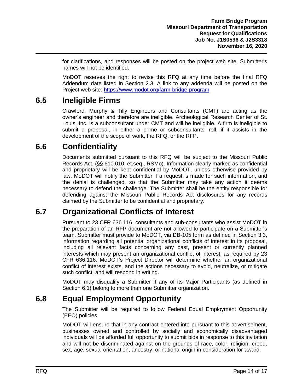for clarifications, and responses will be posted on the project web site. Submitter's names will not be identified.

MoDOT reserves the right to revise this RFQ at any time before the final RFQ Addendum date listed in Section [2.3.](#page-7-0) A link to any addenda will be posted on the Project web site: [https://www.modot.org/farm-bridge-program](https://www.modot.org/bootheel-bridge-bundle)

#### <span id="page-16-0"></span>**6.5 Ineligible Firms**

Crawford, Murphy & Tilly Engineers and Consultants (CMT) are acting as the owner's engineer and therefore are ineligible. Archeological Research Center of St. Louis, Inc. is a subconsultant under CMT and will be ineligible. A firm is ineligible to submit a proposal, in either a prime or subconsultants' roll, if it assists in the development of the scope of work, the RFQ, or the RFP.

## <span id="page-16-1"></span>**6.6 Confidentiality**

Documents submitted pursuant to this RFQ will be subject to the Missouri Public Records Act, (§§ 610.010, et.seq., RSMo). Information clearly marked as confidential and proprietary will be kept confidential by MoDOT, unless otherwise provided by law. MoDOT will notify the Submitter if a request is made for such information, and the denial is challenged, so that the Submitter may take any action it deems necessary to defend the challenge. The Submitter shall be the entity responsible for defending against the Missouri Public Records Act disclosures for any records claimed by the Submitter to be confidential and proprietary.

#### <span id="page-16-2"></span>**6.7 Organizational Conflicts of Interest**

Pursuant to 23 CFR 636.116, consultants and sub-consultants who assist MoDOT in the preparation of an RFP document are not allowed to participate on a Submitter's team. Submitter must provide to MoDOT, via DB-105 form as defined in Section [3.3,](#page-7-4) information regarding all potential organizational conflicts of interest in its proposal, including all relevant facts concerning any past, present or currently planned interests which may present an organizational conflict of interest, as required by 23 CFR 636.116. MoDOT's Project Director will determine whether an organizational conflict of interest exists, and the actions necessary to avoid, neutralize, or mitigate such conflict, and will respond in writing.

MoDOT may disqualify a Submitter if any of its Major Participants (as defined in Section 6.1) belong to more than one Submitter organization.

#### <span id="page-16-3"></span>**6.8 Equal Employment Opportunity**

The Submitter will be required to follow Federal Equal Employment Opportunity (EEO) policies.

MoDOT will ensure that in any contract entered into pursuant to this advertisement, businesses owned and controlled by socially and economically disadvantaged individuals will be afforded full opportunity to submit bids in response to this invitation and will not be discriminated against on the grounds of race, color, religion, creed, sex, age, sexual orientation, ancestry, or national origin in consideration for award.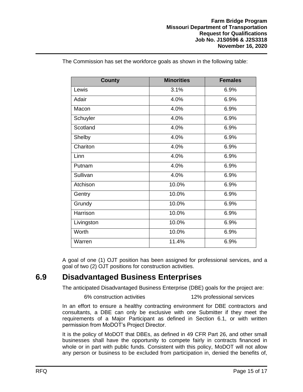| <b>County</b> | <b>Minorities</b> | <b>Females</b> |
|---------------|-------------------|----------------|
| Lewis         | 3.1%              | 6.9%           |
| Adair         | 4.0%              | 6.9%           |
| Macon         | 4.0%              | 6.9%           |
| Schuyler      | 4.0%              | 6.9%           |
| Scotland      | 4.0%              | 6.9%           |
| Shelby        | 4.0%              | 6.9%           |
| Chariton      | 4.0%              | 6.9%           |
| Linn          | 4.0%              | 6.9%           |
| Putnam        | 4.0%              | 6.9%           |
| Sullivan      | 4.0%              | 6.9%           |
| Atchison      | 10.0%             | 6.9%           |
| Gentry        | 10.0%             | 6.9%           |
| Grundy        | 10.0%             | 6.9%           |
| Harrison      | 10.0%             | 6.9%           |
| Livingston    | 10.0%             | 6.9%           |
| Worth         | 10.0%             | 6.9%           |
| Warren        | 11.4%             | 6.9%           |

The Commission has set the workforce goals as shown in the following table:

A goal of one (1) OJT position has been assigned for professional services, and a goal of two (2) OJT positions for construction activities.

#### <span id="page-17-0"></span>**6.9 Disadvantaged Business Enterprises**

The anticipated Disadvantaged Business Enterprise (DBE) goals for the project are:

6% construction activities 12% professional services

In an effort to ensure a healthy contracting environment for DBE contractors and consultants, a DBE can only be exclusive with one Submitter if they meet the requirements of a Major Participant as defined in Section 6.1, or with written permission from MoDOT's Project Director.

It is the policy of MoDOT that DBEs, as defined in 49 CFR Part 26, and other small businesses shall have the opportunity to compete fairly in contracts financed in whole or in part with public funds. Consistent with this policy, MoDOT will not allow any person or business to be excluded from participation in, denied the benefits of,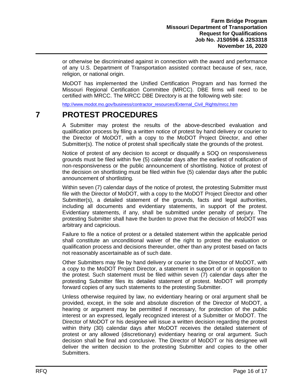or otherwise be discriminated against in connection with the award and performance of any U.S. Department of Transportation assisted contract because of sex, race, religion, or national origin.

MoDOT has implemented the Unified Certification Program and has formed the Missouri Regional Certification Committee (MRCC). DBE firms will need to be certified with MRCC. The MRCC DBE Directory is at the following web site:

[http://www.modot.mo.gov/business/contractor\\_resources/External\\_Civil\\_Rights/mrcc.htm](http://www.modot.mo.gov/business/contractor_resources/External_Civil_Rights/mrcc.htm)

#### <span id="page-18-0"></span>**7 PROTEST PROCEDURES**

A Submitter may protest the results of the above-described evaluation and qualification process by filing a written notice of protest by hand delivery or courier to the Director of MoDOT, with a copy to the MoDOT Project Director, and other Submitter(s). The notice of protest shall specifically state the grounds of the protest.

Notice of protest of any decision to accept or disqualify a SOQ on responsiveness grounds must be filed within five (5) calendar days after the earliest of notification of non-responsiveness or the public announcement of shortlisting. Notice of protest of the decision on shortlisting must be filed within five (5) calendar days after the public announcement of shortlisting.

Within seven (7) calendar days of the notice of protest, the protesting Submitter must file with the Director of MoDOT, with a copy to the MoDOT Project Director and other Submitter(s), a detailed statement of the grounds, facts and legal authorities, including all documents and evidentiary statements, in support of the protest. Evidentiary statements, if any, shall be submitted under penalty of perjury. The protesting Submitter shall have the burden to prove that the decision of MoDOT was arbitrary and capricious.

Failure to file a notice of protest or a detailed statement within the applicable period shall constitute an unconditional waiver of the right to protest the evaluation or qualification process and decisions thereunder, other than any protest based on facts not reasonably ascertainable as of such date.

Other Submitters may file by hand delivery or courier to the Director of MoDOT, with a copy to the MoDOT Project Director, a statement in support of or in opposition to the protest. Such statement must be filed within seven (7) calendar days after the protesting Submitter files its detailed statement of protest. MoDOT will promptly forward copies of any such statements to the protesting Submitter.

Unless otherwise required by law, no evidentiary hearing or oral argument shall be provided, except, in the sole and absolute discretion of the Director of MoDOT, a hearing or argument may be permitted if necessary, for protection of the public interest or an expressed, legally recognized interest of a Submitter or MoDOT. The Director of MoDOT or his designee will issue a written decision regarding the protest within thirty (30) calendar days after MoDOT receives the detailed statement of protest or any allowed (discretionary) evidentiary hearing or oral argument. Such decision shall be final and conclusive. The Director of MoDOT or his designee will deliver the written decision to the protesting Submitter and copies to the other Submitters.